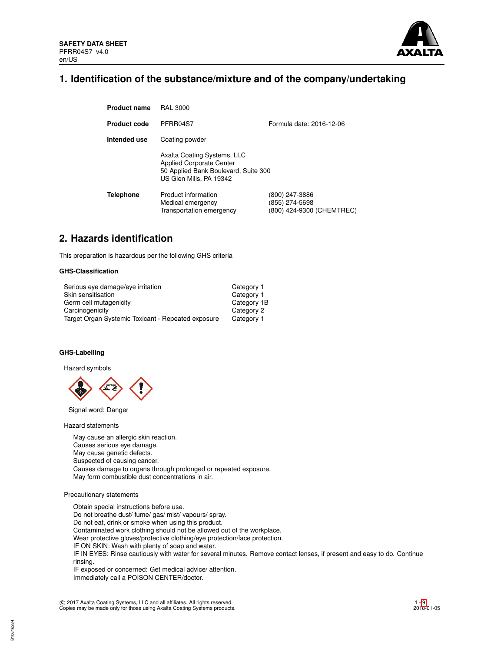

# **1. Identification of the substance/mixture and of the company/undertaking**

| <b>Product name</b> | <b>RAL 3000</b>                                                                                                                   |                                                               |
|---------------------|-----------------------------------------------------------------------------------------------------------------------------------|---------------------------------------------------------------|
| <b>Product code</b> | PFRR04S7                                                                                                                          | Formula date: 2016-12-06                                      |
| Intended use        | Coating powder                                                                                                                    |                                                               |
|                     | Axalta Coating Systems, LLC<br><b>Applied Corporate Center</b><br>50 Applied Bank Boulevard, Suite 300<br>US Glen Mills, PA 19342 |                                                               |
| <b>Telephone</b>    | Product information<br>Medical emergency<br>Transportation emergency                                                              | (800) 247-3886<br>(855) 274-5698<br>(800) 424-9300 (CHEMTREC) |

# **2. Hazards identification**

This preparation is hazardous per the following GHS criteria

### **GHS-Classification**

| Serious eye damage/eye irritation                  | Category 1  |
|----------------------------------------------------|-------------|
| Skin sensitisation                                 | Category 1  |
| Germ cell mutagenicity                             | Category 1B |
| Carcinogenicity                                    | Category 2  |
| Target Organ Systemic Toxicant - Repeated exposure | Category 1  |

## **GHS-Labelling**

Hazard symbols



Signal word: Danger

Hazard statements

May cause an allergic skin reaction. Causes serious eye damage. May cause genetic defects. Suspected of causing cancer. Causes damage to organs through prolonged or repeated exposure. May form combustible dust concentrations in air.

# Precautionary statements

Obtain special instructions before use. Do not breathe dust/ fume/ gas/ mist/ vapours/ spray. Do not eat, drink or smoke when using this product. Contaminated work clothing should not be allowed out of the workplace. Wear protective gloves/protective clothing/eye protection/face protection. IF ON SKIN: Wash with plenty of soap and water. IF IN EYES: Rinse cautiously with water for several minutes. Remove contact lenses, if present and easy to do. Continue rinsing. IF exposed or concerned: Get medical advice/ attention. Immediately call a POISON CENTER/doctor.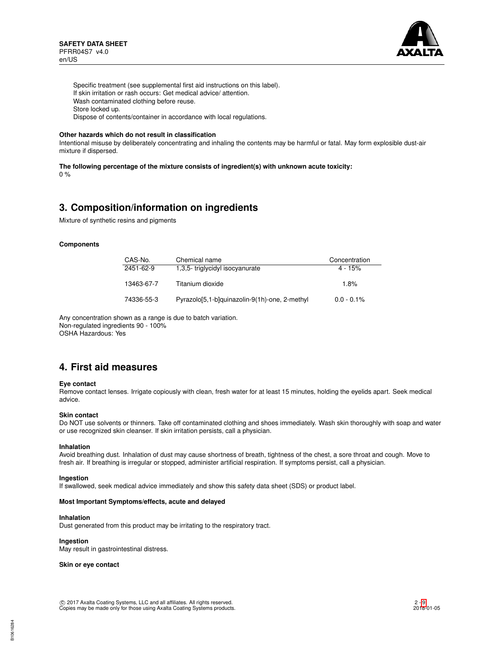

Specific treatment (see supplemental first aid instructions on this label). If skin irritation or rash occurs: Get medical advice/ attention. Wash contaminated clothing before reuse. Store locked up. Dispose of contents/container in accordance with local regulations.

#### **Other hazards which do not result in classification**

Intentional misuse by deliberately concentrating and inhaling the contents may be harmful or fatal. May form explosible dust-air mixture if dispersed.

**The following percentage of the mixture consists of ingredient(s) with unknown acute toxicity:**

## 0 %

# **3. Composition/information on ingredients**

Mixture of synthetic resins and pigments

## **Components**

| CAS-No.    | Chemical name                                 | Concentration |
|------------|-----------------------------------------------|---------------|
| 2451-62-9  | 1,3,5-triglycidyl isocyanurate                | $4 - 15%$     |
| 13463-67-7 | Titanium dioxide                              | 1.8%          |
| 74336-55-3 | Pyrazolo[5,1-b]quinazolin-9(1h)-one, 2-methyl | $0.0 - 0.1\%$ |

Any concentration shown as a range is due to batch variation. Non-regulated ingredients 90 - 100% OSHA Hazardous: Yes

# **4. First aid measures**

#### **Eye contact**

Remove contact lenses. Irrigate copiously with clean, fresh water for at least 15 minutes, holding the eyelids apart. Seek medical advice.

#### **Skin contact**

Do NOT use solvents or thinners. Take off contaminated clothing and shoes immediately. Wash skin thoroughly with soap and water or use recognized skin cleanser. If skin irritation persists, call a physician.

#### **Inhalation**

Avoid breathing dust. Inhalation of dust may cause shortness of breath, tightness of the chest, a sore throat and cough. Move to fresh air. If breathing is irregular or stopped, administer artificial respiration. If symptoms persist, call a physician.

#### **Ingestion**

If swallowed, seek medical advice immediately and show this safety data sheet (SDS) or product label.

### **Most Important Symptoms/effects, acute and delayed**

## **Inhalation**

Dust generated from this product may be irritating to the respiratory tract.

# **Ingestion**

May result in gastrointestinal distress.

**Skin or eye contact**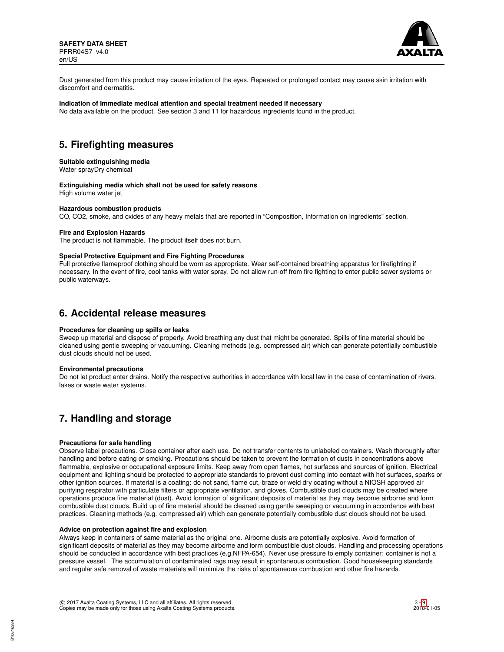

Dust generated from this product may cause irritation of the eyes. Repeated or prolonged contact may cause skin irritation with discomfort and dermatitis.

## **Indication of Immediate medical attention and special treatment needed if necessary**

No data available on the product. See section 3 and 11 for hazardous ingredients found in the product.

# **5. Firefighting measures**

#### **Suitable extinguishing media**

Water sprayDry chemical

### **Extinguishing media which shall not be used for safety reasons**

High volume water jet

#### **Hazardous combustion products**

CO, CO2, smoke, and oxides of any heavy metals that are reported in "Composition, Information on Ingredients" section.

#### **Fire and Explosion Hazards**

The product is not flammable. The product itself does not burn.

#### **Special Protective Equipment and Fire Fighting Procedures**

Full protective flameproof clothing should be worn as appropriate. Wear self-contained breathing apparatus for firefighting if necessary. In the event of fire, cool tanks with water spray. Do not allow run-off from fire fighting to enter public sewer systems or public waterways.

# **6. Accidental release measures**

#### **Procedures for cleaning up spills or leaks**

Sweep up material and dispose of properly. Avoid breathing any dust that might be generated. Spills of fine material should be cleaned using gentle sweeping or vacuuming. Cleaning methods (e.g. compressed air) which can generate potentially combustible dust clouds should not be used.

#### **Environmental precautions**

Do not let product enter drains. Notify the respective authorities in accordance with local law in the case of contamination of rivers, lakes or waste water systems.

# **7. Handling and storage**

#### **Precautions for safe handling**

Observe label precautions. Close container after each use. Do not transfer contents to unlabeled containers. Wash thoroughly after handling and before eating or smoking. Precautions should be taken to prevent the formation of dusts in concentrations above flammable, explosive or occupational exposure limits. Keep away from open flames, hot surfaces and sources of ignition. Electrical equipment and lighting should be protected to appropriate standards to prevent dust coming into contact with hot surfaces, sparks or other ignition sources. If material is a coating: do not sand, flame cut, braze or weld dry coating without a NIOSH approved air purifying respirator with particulate filters or appropriate ventilation, and gloves. Combustible dust clouds may be created where operations produce fine material (dust). Avoid formation of significant deposits of material as they may become airborne and form combustible dust clouds. Build up of fine material should be cleaned using gentle sweeping or vacuuming in accordance with best practices. Cleaning methods (e.g. compressed air) which can generate potentially combustible dust clouds should not be used.

### **Advice on protection against fire and explosion**

Always keep in containers of same material as the original one. Airborne dusts are potentially explosive. Avoid formation of significant deposits of material as they may become airborne and form combustible dust clouds. Handling and processing operations should be conducted in accordance with best practices (e.g.NFPA-654). Never use pressure to empty container: container is not a pressure vessel. The accumulation of contaminated rags may result in spontaneous combustion. Good housekeeping standards and regular safe removal of waste materials will minimize the risks of spontaneous combustion and other fire hazards.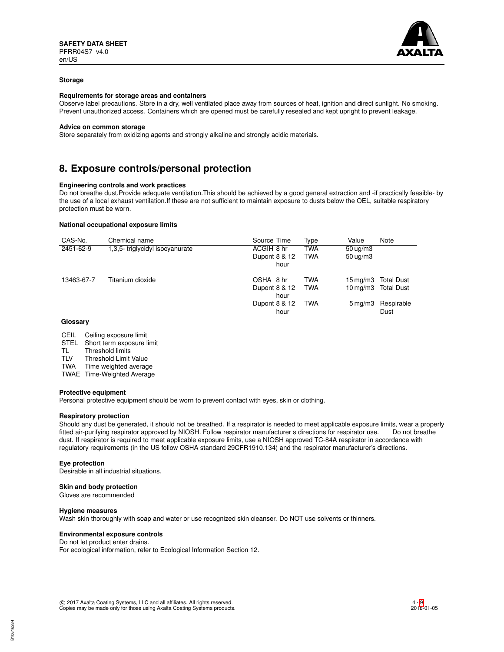

#### **Storage**

#### **Requirements for storage areas and containers**

Observe label precautions. Store in a dry, well ventilated place away from sources of heat, ignition and direct sunlight. No smoking. Prevent unauthorized access. Containers which are opened must be carefully resealed and kept upright to prevent leakage.

#### **Advice on common storage**

Store separately from oxidizing agents and strongly alkaline and strongly acidic materials.

# **8. Exposure controls/personal protection**

### **Engineering controls and work practices**

Do not breathe dust.Provide adequate ventilation.This should be achieved by a good general extraction and -if practically feasible- by the use of a local exhaust ventilation.If these are not sufficient to maintain exposure to dusts below the OEL, suitable respiratory protection must be worn.

#### **National occupational exposure limits**

| CAS-No.    | Chemical name                  | Source Time   | Type       | Value                  | Note              |
|------------|--------------------------------|---------------|------------|------------------------|-------------------|
| 2451-62-9  | 1,3,5-triglycidyl isocyanurate | ACGIH 8 hr    | <b>TWA</b> | $50 \mu g/m3$          |                   |
|            |                                | Dupont 8 & 12 | <b>TWA</b> | $50 \text{ ug/m}$ 3    |                   |
|            |                                | hour          |            |                        |                   |
| 13463-67-7 | Titanium dioxide               | OSHA 8 hr     | <b>TWA</b> | 15 mg/m3               | <b>Total Dust</b> |
|            |                                | Dupont 8 & 12 | <b>TWA</b> | $10 \,\mathrm{mq/m}$ 3 | <b>Total Dust</b> |
|            |                                | hour          |            |                        |                   |
|            |                                | Dupont 8 & 12 | <b>TWA</b> | $5 \,\mathrm{mq/m}$ 3  | Respirable        |
|            |                                | hour          |            |                        | Dust              |
|            |                                |               |            |                        |                   |

#### **Glossary**

- CEIL Ceiling exposure limit<br>STEL Short term exposure l
- STEL Short term exposure limit<br>TL Threshold limits
- TL Threshold limits<br>TLV Threshold Limit
- Threshold Limit Value

TWA Time weighted average

TWAE Time-Weighted Average

#### **Protective equipment**

Personal protective equipment should be worn to prevent contact with eyes, skin or clothing.

#### **Respiratory protection**

Should any dust be generated, it should not be breathed. If a respirator is needed to meet applicable exposure limits, wear a properly fitted air-purifying respirator approved by NIOSH. Follow respirator manufacturer s directions for respirator use. Do not breathe dust. If respirator is required to meet applicable exposure limits, use a NIOSH approved TC-84A respirator in accordance with regulatory requirements (in the US follow OSHA standard 29CFR1910.134) and the respirator manufacturer's directions.

#### **Eye protection**

Desirable in all industrial situations.

**Skin and body protection**

Gloves are recommended

#### **Hygiene measures**

B10616284

Wash skin thoroughly with soap and water or use recognized skin cleanser. Do NOT use solvents or thinners.

#### **Environmental exposure controls**

Do not let product enter drains. For ecological information, refer to Ecological Information Section 12.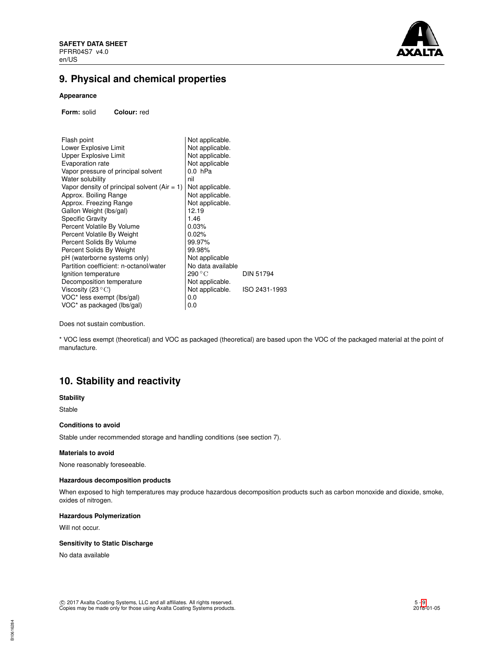

# **9. Physical and chemical properties**

# **Appearance**

**Form:** solid **Colour:** red

| Not applicable.   |               |
|-------------------|---------------|
| Not applicable.   |               |
| Not applicable.   |               |
| Not applicable    |               |
| $0.0$ hPa         |               |
| nil               |               |
| Not applicable.   |               |
| Not applicable.   |               |
| Not applicable.   |               |
| 12.19             |               |
| 1.46              |               |
| 0.03%             |               |
| 0.02%             |               |
| 99.97%            |               |
| 99.98%            |               |
| Not applicable    |               |
| No data available |               |
| 290 °C            | DIN 51794     |
| Not applicable.   |               |
| Not applicable.   | ISO 2431-1993 |
| 0.0               |               |
| 0.0               |               |
|                   |               |

Does not sustain combustion.

\* VOC less exempt (theoretical) and VOC as packaged (theoretical) are based upon the VOC of the packaged material at the point of manufacture.

# **10. Stability and reactivity**

#### **Stability**

Stable

## **Conditions to avoid**

Stable under recommended storage and handling conditions (see section 7).

#### **Materials to avoid**

None reasonably foreseeable.

## **Hazardous decomposition products**

When exposed to high temperatures may produce hazardous decomposition products such as carbon monoxide and dioxide, smoke, oxides of nitrogen.

# **Hazardous Polymerization**

Will not occur.

### **Sensitivity to Static Discharge**

No data available

B10616284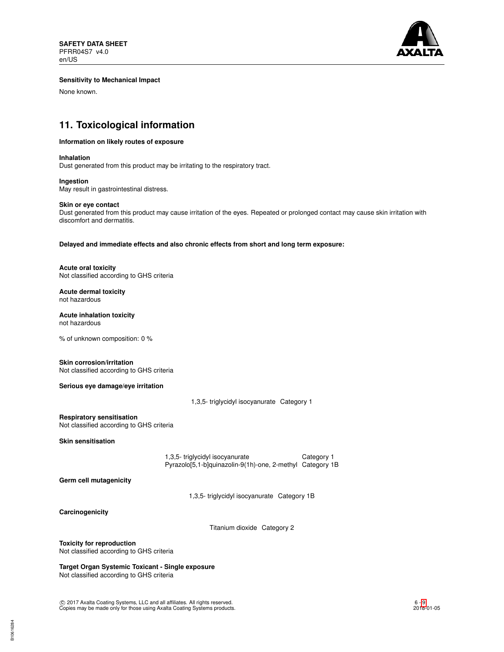

### **Sensitivity to Mechanical Impact**

None known.

# **11. Toxicological information**

#### **Information on likely routes of exposure**

**Inhalation**

Dust generated from this product may be irritating to the respiratory tract.

**Ingestion** May result in gastrointestinal distress.

#### **Skin or eye contact**

Dust generated from this product may cause irritation of the eyes. Repeated or prolonged contact may cause skin irritation with discomfort and dermatitis.

**Delayed and immediate effects and also chronic effects from short and long term exposure:**

**Acute oral toxicity** Not classified according to GHS criteria

**Acute dermal toxicity** not hazardous

**Acute inhalation toxicity** not hazardous

% of unknown composition: 0 %

**Skin corrosion/irritation**

Not classified according to GHS criteria

**Serious eye damage/eye irritation**

1,3,5- triglycidyl isocyanurate Category 1

**Respiratory sensitisation** Not classified according to GHS criteria

**Skin sensitisation**

1,3,5- triglycidyl isocyanurate Category 1 Pyrazolo[5,1-b]quinazolin-9(1h)-one, 2-methyl Category 1B

**Germ cell mutagenicity**

1,3,5- triglycidyl isocyanurate Category 1B

**Carcinogenicity**

Titanium dioxide Category 2

**Toxicity for reproduction**

Not classified according to GHS criteria

**Target Organ Systemic Toxicant - Single exposure** Not classified according to GHS criteria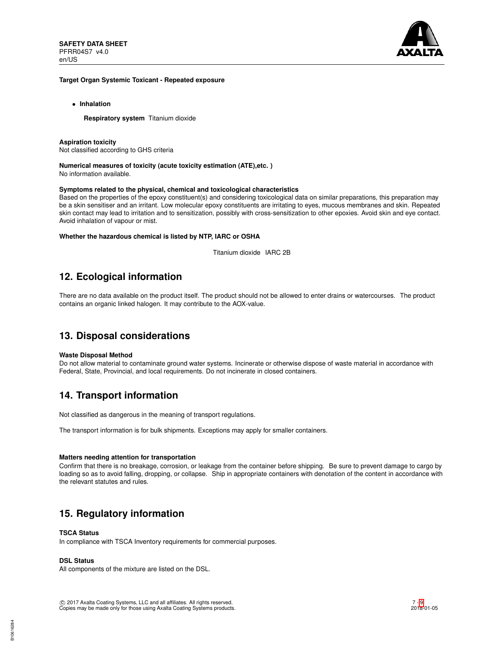

#### **Target Organ Systemic Toxicant - Repeated exposure**

• **Inhalation**

**Respiratory system** Titanium dioxide

## **Aspiration toxicity**

Not classified according to GHS criteria

**Numerical measures of toxicity (acute toxicity estimation (ATE),etc. )** No information available.

#### **Symptoms related to the physical, chemical and toxicological characteristics**

Based on the properties of the epoxy constituent(s) and considering toxicological data on similar preparations, this preparation may be a skin sensitiser and an irritant. Low molecular epoxy constituents are irritating to eyes, mucous membranes and skin. Repeated skin contact may lead to irritation and to sensitization, possibly with cross-sensitization to other epoxies. Avoid skin and eye contact. Avoid inhalation of vapour or mist.

#### **Whether the hazardous chemical is listed by NTP, IARC or OSHA**

Titanium dioxide IARC 2B

# **12. Ecological information**

There are no data available on the product itself. The product should not be allowed to enter drains or watercourses. The product contains an organic linked halogen. It may contribute to the AOX-value.

# **13. Disposal considerations**

#### **Waste Disposal Method**

Do not allow material to contaminate ground water systems. Incinerate or otherwise dispose of waste material in accordance with Federal, State, Provincial, and local requirements. Do not incinerate in closed containers.

# **14. Transport information**

Not classified as dangerous in the meaning of transport regulations.

The transport information is for bulk shipments. Exceptions may apply for smaller containers.

## **Matters needing attention for transportation**

Confirm that there is no breakage, corrosion, or leakage from the container before shipping. Be sure to prevent damage to cargo by loading so as to avoid falling, dropping, or collapse. Ship in appropriate containers with denotation of the content in accordance with the relevant statutes and rules.

# **15. Regulatory information**

## **TSCA Status**

In compliance with TSCA Inventory requirements for commercial purposes.

## **DSL Status**

All components of the mixture are listed on the DSL.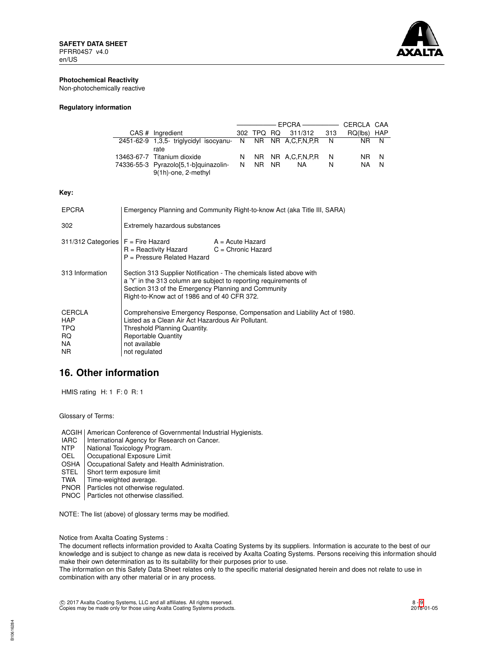

# **Photochemical Reactivity**

Non-photochemically reactive

### **Regulatory information**

|                                                              |         | — EPCRA —————— CERCLA CAA |   |             |     |
|--------------------------------------------------------------|---------|---------------------------|---|-------------|-----|
| CAS # Ingredient                                             |         | 302 TPQ RQ 311/312 313    |   | RQ(lbs) HAP |     |
| 2451-62-9 1,3,5- triglycidyl isocyanu- N NR NR A,C,F,N,P,R N |         |                           |   | NR N        |     |
| rate                                                         |         |                           |   |             |     |
| 13463-67-7 Titanium dioxide                                  |         | N NR NR A.C.F.N.P.R N     |   | NR N        |     |
| 74336-55-3 Pyrazolo[5,1-b]quinazolin-                        | N NR NR | NA.                       | N | NA.         | - N |
| 9(1h)-one, 2-methyl                                          |         |                           |   |             |     |

#### **Key:**

| <b>EPCRA</b>                                     | Emergency Planning and Community Right-to-know Act (aka Title III, SARA)                                                                                                                                                                       |  |  |
|--------------------------------------------------|------------------------------------------------------------------------------------------------------------------------------------------------------------------------------------------------------------------------------------------------|--|--|
| 302                                              | Extremely hazardous substances                                                                                                                                                                                                                 |  |  |
|                                                  | $311/312$ Categories $F =$ Fire Hazard $A =$ Acute Hazard<br>$R =$ Reactivity Hazard $C =$ Chronic Hazard<br>P = Pressure Related Hazard                                                                                                       |  |  |
| 313 Information                                  | Section 313 Supplier Notification - The chemicals listed above with<br>a 'Y' in the 313 column are subject to reporting requirements of<br>Section 313 of the Emergency Planning and Community<br>Right-to-Know act of 1986 and of 40 CFR 372. |  |  |
| CERCLA<br><b>HAP</b><br>TPQ<br>RQ.<br>NA.<br>NR. | Comprehensive Emergency Response, Compensation and Liability Act of 1980.<br>Listed as a Clean Air Act Hazardous Air Pollutant.<br>Threshold Planning Quantity.<br><b>Reportable Quantity</b><br>not available<br>not regulated                |  |  |

# **16. Other information**

HMIS rating H: 1 F: 0 R: 1

Glossary of Terms:

ACGIH | American Conference of Governmental Industrial Hygienists.<br>
IARC | International Agency for Research on Cancer.

- IARC | International Agency for Research on Cancer.<br>NTP | National Toxicology Program.
- NTP National Toxicology Program.<br>OEL Cocupational Exposure Limit
- OEL Cccupational Exposure Limit<br>
OSHA Cccupational Safety and Hea
- OSHA Occupational Safety and Health Administration.<br>STEL Short term exposure limit
- Short term exposure limit
- TWA | Time-weighted average.
- PNOR | Particles not otherwise regulated.
- PNOC | Particles not otherwise classified.

NOTE: The list (above) of glossary terms may be modified.

Notice from Axalta Coating Systems :

The document reflects information provided to Axalta Coating Systems by its suppliers. Information is accurate to the best of our knowledge and is subject to change as new data is received by Axalta Coating Systems. Persons receiving this information should make their own determination as to its suitability for their purposes prior to use.

The information on this Safety Data Sheet relates only to the specific material designated herein and does not relate to use in combination with any other material or in any process.

c 2017 Axalta Coating Systems, LLC and all affiliates. All rights reserved. Copies may be made only for those using Axalta Coating Systems products.

B10616284